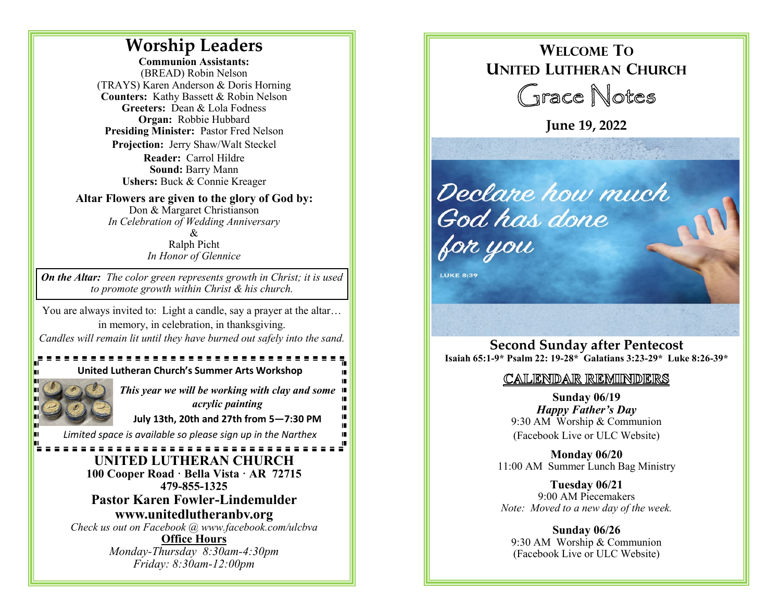## **Worship Leaders**

**Communion Assistants:**  (BREAD) Robin Nelson (TRAYS) Karen Anderson & Doris Horning **Counters:** Kathy Bassett & Robin Nelson **Greeters:** Dean & Lola Fodness **Organ:** Robbie Hubbard **Presiding Minister:** Pastor Fred Nelson **Projection:** Jerry Shaw/Walt Steckel **Reader:** Carrol Hildre **Sound:** Barry Mann **Ushers:** Buck & Connie Kreager

**Altar Flowers are given to the glory of God by:**  Don & Margaret Christianson *In Celebration of Wedding Anniversary*

& Ralph Picht *In Honor of Glennice*

*On the Altar: The color green represents growth in Christ; it is used to promote growth within Christ & his church.*

You are always invited to: Light a candle, say a prayer at the altar… in memory, in celebration, in thanksgiving. *Candles will remain lit until they have burned out safely into the sand.*

## **United Lutheran Church's Summer Arts Workshop**



*This year we will be working with clay and some acrylic painting* 

**July 13th, 20th and 27th from 5—7:30 PM**

*Limited space is available so please sign up in the Narthex*

#### - - - - - - - - - - - - - - - -**UNITED LUTHERAN CHURCH 100 Cooper Road · Bella Vista · AR 72715 479-855-1325 Pastor Karen Fowler-Lindemulder www.unitedlutheranbv.org**  *Check us out on Facebook @ www.facebook.com/ulcbva*

**Office Hours** *Monday-Thursday 8:30am-4:30pm Friday: 8:30am-12:00pm*

# **WELCOME TO UNITED LUTHERAN CHURCH** Grace Notes

**June 19, 2022** 



**LUKE 8:39** 

**Second Sunday after Pentecost Isaiah 65:1-9\* Psalm 22: 19-28\* Galatians 3:23-29\* Luke 8:26-39\***

### CALENDAR REMINDERS

**Sunday 06/19** *Happy Father's Day* 9:30 AM Worship & Communion (Facebook Live or ULC Website)

**Monday 06/20** 11:00 AM Summer Lunch Bag Ministry

**Tuesday 06/21** 9:00 AM Piecemakers *Note: Moved to a new day of the week.*

**Sunday 06/26** 9:30 AM Worship & Communion (Facebook Live or ULC Website)